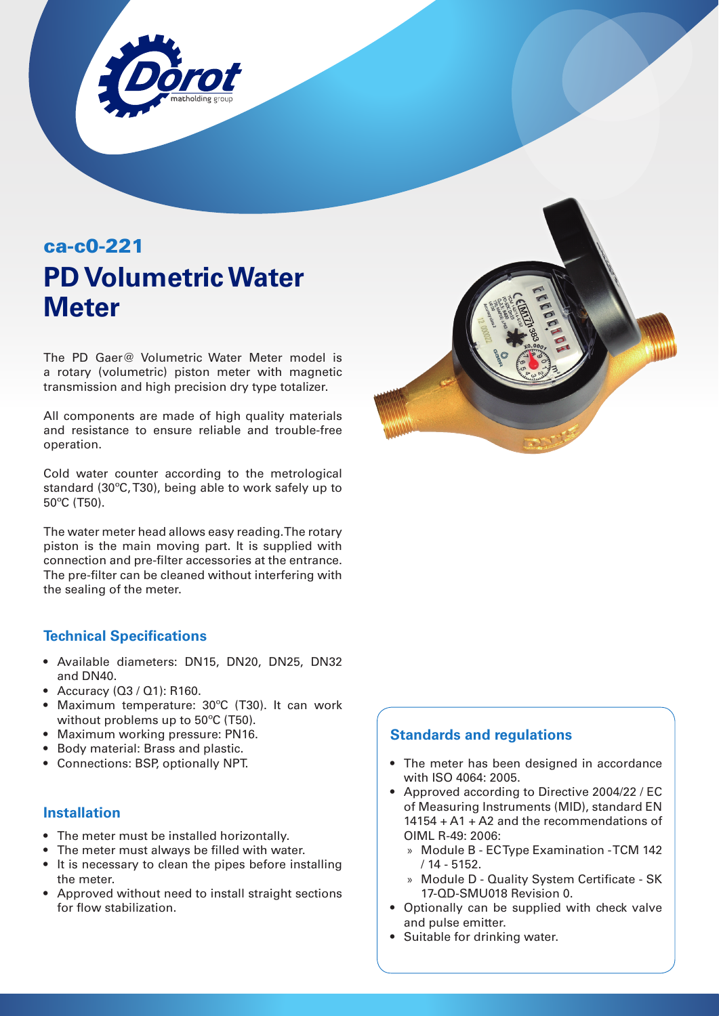

# ca-c0-221 **PD Volumetric Water Meter**

The PD Gaer@ Volumetric Water Meter model is a rotary (volumetric) piston meter with magnetic transmission and high precision dry type totalizer.

All components are made of high quality materials and resistance to ensure reliable and trouble-free operation.

Cold water counter according to the metrological standard (30ºC, T30), being able to work safely up to 50ºC (T50).

The water meter head allows easy reading. The rotary piston is the main moving part. It is supplied with connection and pre-filter accessories at the entrance. The pre-filter can be cleaned without interfering with the sealing of the meter.

### **Technical Specifications**

- Available diameters: DN15, DN20, DN25, DN32 and DN40.
- Accuracy (Q3 / Q1): R160.
- Maximum temperature: 30ºC (T30). It can work without problems up to 50ºC (T50).
- Maximum working pressure: PN16.
- Body material: Brass and plastic.
- Connections: BSP, optionally NPT.

#### **Installation**

- The meter must be installed horizontally.
- The meter must always be filled with water.
- It is necessary to clean the pipes before installing the meter.
- Approved without need to install straight sections for flow stabilization.



### **Standards and regulations**

- The meter has been designed in accordance with ISO 4064: 2005.
- Approved according to Directive 2004/22 / EC of Measuring Instruments (MID), standard EN 14154 + A1 + A2 and the recommendations of OIML R-49: 2006:
	- » Module B EC Type Examination TCM 142 / 14 - 5152.
	- » Module D Quality System Certificate SK 17-QD-SMU018 Revision 0.
- Optionally can be supplied with check valve and pulse emitter.
- Suitable for drinking water.